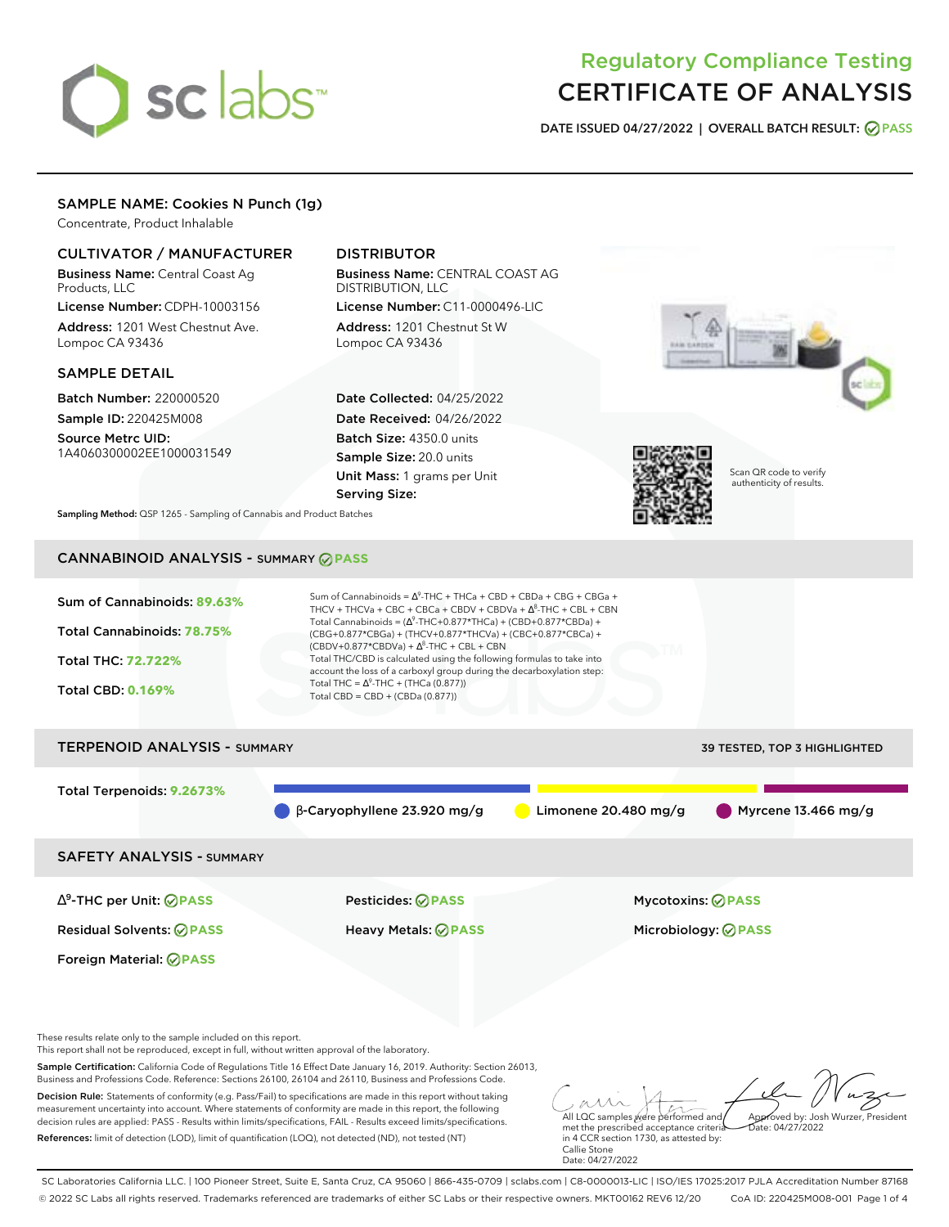# sclabs<sup>\*</sup>

# Regulatory Compliance Testing CERTIFICATE OF ANALYSIS

**DATE ISSUED 04/27/2022 | OVERALL BATCH RESULT: PASS**

# SAMPLE NAME: Cookies N Punch (1g)

Concentrate, Product Inhalable

# CULTIVATOR / MANUFACTURER

Business Name: Central Coast Ag Products, LLC

License Number: CDPH-10003156 Address: 1201 West Chestnut Ave. Lompoc CA 93436

## SAMPLE DETAIL

Batch Number: 220000520 Sample ID: 220425M008 Source Metrc UID:

1A4060300002EE1000031549

# DISTRIBUTOR

Business Name: CENTRAL COAST AG DISTRIBUTION, LLC License Number: C11-0000496-LIC

Address: 1201 Chestnut St W Lompoc CA 93436

Date Collected: 04/25/2022 Date Received: 04/26/2022 Batch Size: 4350.0 units Sample Size: 20.0 units Unit Mass: 1 grams per Unit Serving Size:



authenticity of results.

**Sampling Method:** QSP 1265 - Sampling of Cannabis and Product Batches

# CANNABINOID ANALYSIS - SUMMARY **PASS**

| Sum of Cannabinoids: 89.63%<br><b>Total Cannabinoids: 78.75%</b><br><b>Total THC: 72.722%</b><br><b>Total CBD: 0.169%</b> | Sum of Cannabinoids = $\Lambda^9$ -THC + THCa + CBD + CBDa + CBG + CBGa +<br>THCV + THCVa + CBC + CBCa + CBDV + CBDVa + $\Delta^8$ -THC + CBL + CBN<br>Total Cannabinoids = $(\Delta^9$ -THC+0.877*THCa) + (CBD+0.877*CBDa) +<br>(CBG+0.877*CBGa) + (THCV+0.877*THCVa) + (CBC+0.877*CBCa) +<br>$(CBDV+0.877*CBDVa) + \Delta^8$ -THC + CBL + CBN<br>Total THC/CBD is calculated using the following formulas to take into<br>account the loss of a carboxyl group during the decarboxylation step:<br>Total THC = $\Delta^9$ -THC + (THCa (0.877))<br>Total CBD = $CBD + (CBDa (0.877))$ |                        |                            |  |  |
|---------------------------------------------------------------------------------------------------------------------------|-----------------------------------------------------------------------------------------------------------------------------------------------------------------------------------------------------------------------------------------------------------------------------------------------------------------------------------------------------------------------------------------------------------------------------------------------------------------------------------------------------------------------------------------------------------------------------------------|------------------------|----------------------------|--|--|
| <b>TERPENOID ANALYSIS - SUMMARY</b><br>39 TESTED, TOP 3 HIGHLIGHTED                                                       |                                                                                                                                                                                                                                                                                                                                                                                                                                                                                                                                                                                         |                        |                            |  |  |
| Total Terpenoids: 9.2673%                                                                                                 | $\beta$ -Caryophyllene 23.920 mg/g                                                                                                                                                                                                                                                                                                                                                                                                                                                                                                                                                      | Limonene $20.480$ mg/g | Myrcene $13.466$ mg/g      |  |  |
| <b>SAFETY ANALYSIS - SUMMARY</b>                                                                                          |                                                                                                                                                                                                                                                                                                                                                                                                                                                                                                                                                                                         |                        |                            |  |  |
| $\Delta^9$ -THC per Unit: $\oslash$ PASS                                                                                  | Pesticides: ⊘PASS                                                                                                                                                                                                                                                                                                                                                                                                                                                                                                                                                                       |                        | Mycotoxins: ⊘PASS          |  |  |
| <b>Residual Solvents: ⊘PASS</b>                                                                                           | <b>Heavy Metals: ⊘ PASS</b>                                                                                                                                                                                                                                                                                                                                                                                                                                                                                                                                                             |                        | Microbiology: <b>⊘PASS</b> |  |  |

These results relate only to the sample included on this report.

Foreign Material: **PASS**

This report shall not be reproduced, except in full, without written approval of the laboratory.

Sample Certification: California Code of Regulations Title 16 Effect Date January 16, 2019. Authority: Section 26013, Business and Professions Code. Reference: Sections 26100, 26104 and 26110, Business and Professions Code.

Decision Rule: Statements of conformity (e.g. Pass/Fail) to specifications are made in this report without taking measurement uncertainty into account. Where statements of conformity are made in this report, the following decision rules are applied: PASS - Results within limits/specifications, FAIL - Results exceed limits/specifications. References: limit of detection (LOD), limit of quantification (LOQ), not detected (ND), not tested (NT)

All LQC samples were performed and met the prescribed acceptance criteria Approved by: Josh Wurzer, President  $hat: 04/27/2022$ 

in 4 CCR section 1730, as attested by: Callie Stone Date: 04/27/2022

SC Laboratories California LLC. | 100 Pioneer Street, Suite E, Santa Cruz, CA 95060 | 866-435-0709 | sclabs.com | C8-0000013-LIC | ISO/IES 17025:2017 PJLA Accreditation Number 87168 © 2022 SC Labs all rights reserved. Trademarks referenced are trademarks of either SC Labs or their respective owners. MKT00162 REV6 12/20 CoA ID: 220425M008-001 Page 1 of 4